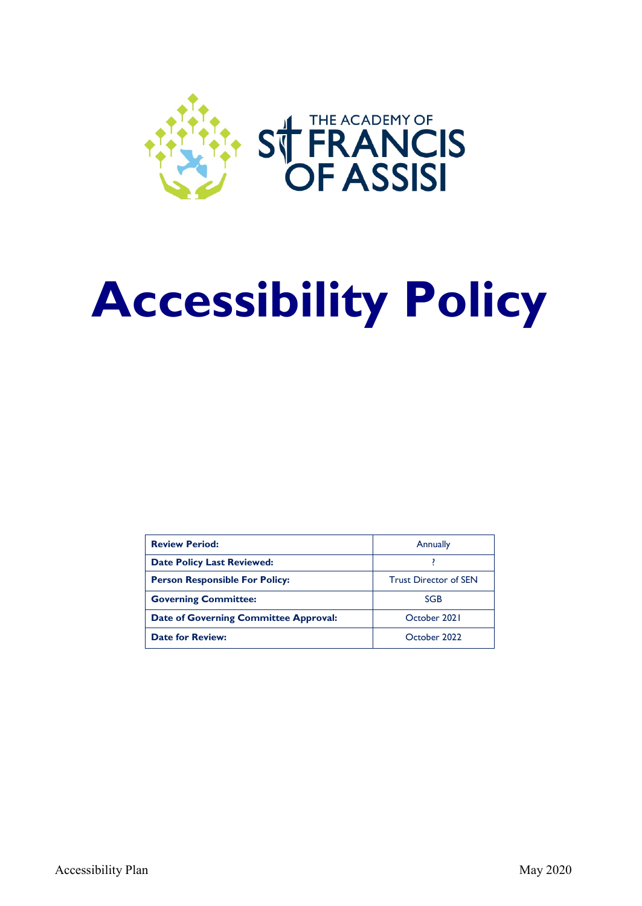

# **Accessibility Policy**

| <b>Review Period:</b>                 | Annually                     |
|---------------------------------------|------------------------------|
| <b>Date Policy Last Reviewed:</b>     |                              |
| <b>Person Responsible For Policy:</b> | <b>Trust Director of SEN</b> |
| <b>Governing Committee:</b>           | SGB                          |
| Date of Governing Committee Approval: | October 2021                 |
| <b>Date for Review:</b>               | October 2022                 |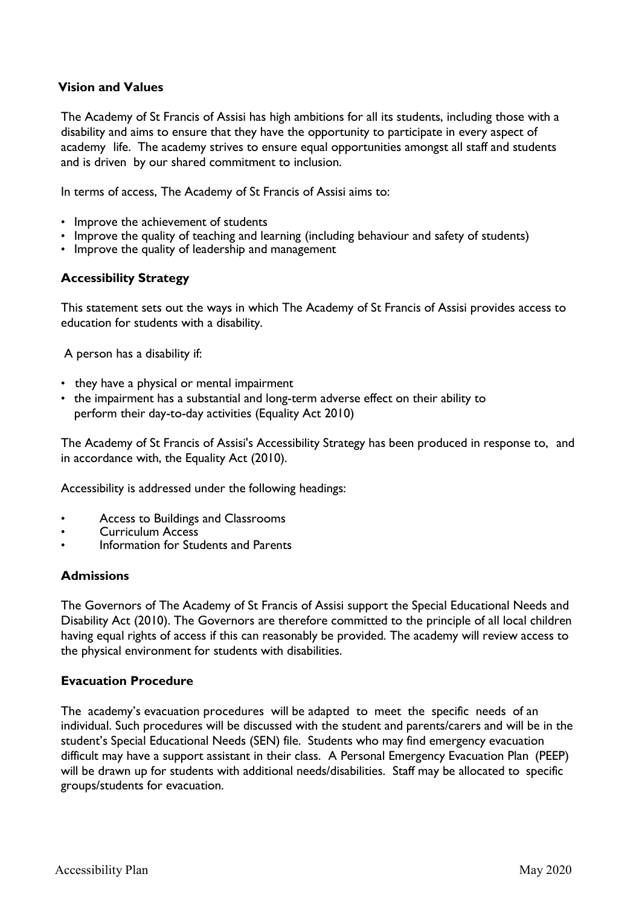## **Vision and Values**

The Academy of St Francis of Assisi has high ambitions for all its students, including those with a disability and aims to ensure that they have the opportunity to participate in every aspect of academy life. The academy strives to ensure equal opportunities amongst all staff and students and is driven by our shared commitment to inclusion.

In terms of access, The Academy of St Francis of Assisi aims to:

- Improve the achievement of students
- Improve the quality of teaching and learning (including behaviour and safety of students)
- Improve the quality of leadership and management

## **Accessibility Strategy**

This statement sets out the ways in which The Academy of St Francis of Assisi provides access to education for students with a disability.

A person has a disability if:

- they have a physical or mental impairment
- the impairment has a substantial and long-term adverse effect on their ability to perform their day-to-day activities (Equality Act 2010)

The Academy of St Francis of Assisi's Accessibility Strategy has been produced in response to, and in accordance with, the Equality Act (2010).

Accessibility is addressed under the following headings:

- Access to Buildings and Classrooms
- Curriculum Access
- Information for Students and Parents

#### **Admissions**

The Governors of The Academy of St Francis of Assisi support the Special Educational Needs and Disability Act (2010). The Governors are therefore committed to the principle of all local children having equal rights of access if this can reasonably be provided. The academy will review access to the physical environment for students with disabilities.

#### **Evacuation Procedure**

The academy's evacuation procedures will be adapted to meet the specific needs of an individual. Such procedures will be discussed with the student and parents/carers and will be in the student's Special Educational Needs (SEN) file. Students who may find emergency evacuation difficult may have a support assistant in their class. A Personal Emergency Evacuation Plan (PEEP) will be drawn up for students with additional needs/disabilities. Staff may be allocated to specific groups/students for evacuation.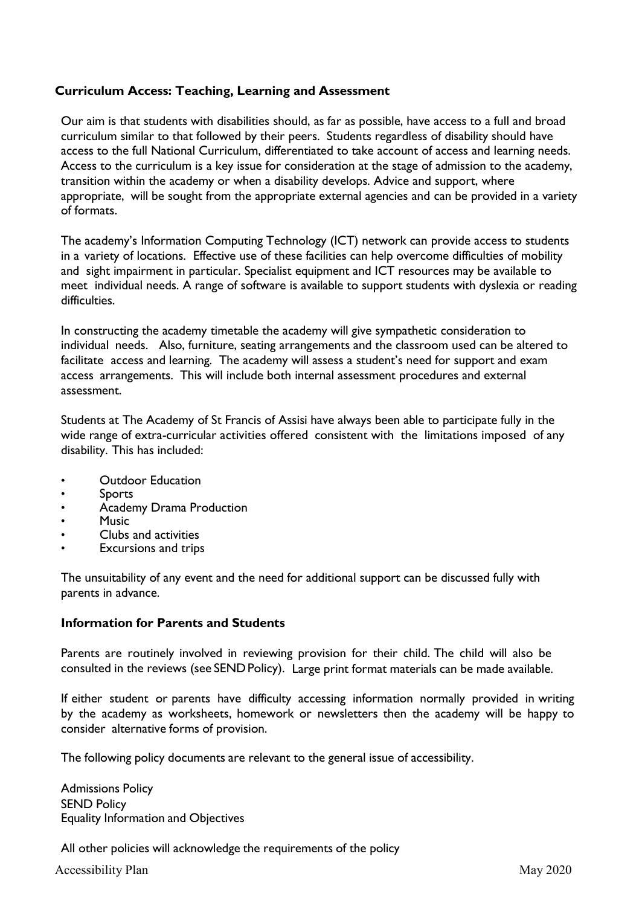# **Curriculum Access: Teaching, Learning and Assessment**

Our aim is that students with disabilities should, as far as possible, have access to a full and broad curriculum similar to that followed by their peers. Students regardless of disability should have access to the full National Curriculum, differentiated to take account of access and learning needs. Access to the curriculum is a key issue for consideration at the stage of admission to the academy, transition within the academy or when a disability develops. Advice and support, where appropriate, will be sought from the appropriate external agencies and can be provided in a variety of formats.

The academy's Information Computing Technology (ICT) network can provide access to students in a variety of locations. Effective use of these facilities can help overcome difficulties of mobility and sight impairment in particular. Specialist equipment and ICT resources may be available to meet individual needs. A range of software is available to support students with dyslexia or reading difficulties.

In constructing the academy timetable the academy will give sympathetic consideration to individual needs. Also, furniture, seating arrangements and the classroom used can be altered to facilitate access and learning. The academy will assess a student's need for support and exam access arrangements. This will include both internal assessment procedures and external assessment.

Students at The Academy of St Francis of Assisi have always been able to participate fully in the wide range of extra-curricular activities offered consistent with the limitations imposed of any disability. This has included:

- Outdoor Education
- Sports
- Academy Drama Production
- Music
- Clubs and activities
- Excursions and trips

The unsuitability of any event and the need for additional support can be discussed fully with parents in advance.

#### **Information for Parents and Students**

Parents are routinely involved in reviewing provision for their child. The child will also be consulted in the reviews (see SEND Policy). Large print format materials can be made available.

If either student or parents have difficulty accessing information normally provided in writing by the academy as worksheets, homework or newsletters then the academy will be happy to consider alternative forms of provision.

The following policy documents are relevant to the general issue of accessibility.

Admissions Policy SEND Policy Equality Information and Objectives

All other policies will acknowledge the requirements of the policy

Accessibility Plan May 2020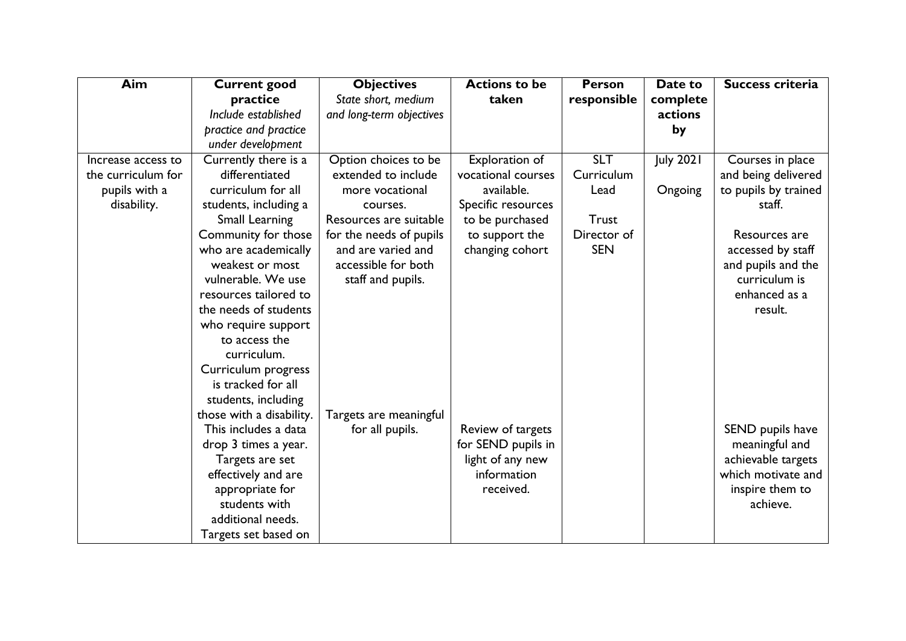| <b>Aim</b>         | <b>Current good</b>      | <b>Objectives</b>        | <b>Actions to be</b> | <b>Person</b> | Date to          | Success criteria     |
|--------------------|--------------------------|--------------------------|----------------------|---------------|------------------|----------------------|
|                    | practice                 | State short, medium      | taken                | responsible   | complete         |                      |
|                    | Include established      | and long-term objectives |                      |               | actions          |                      |
|                    | practice and practice    |                          |                      |               | by               |                      |
|                    | under development        |                          |                      |               |                  |                      |
| Increase access to | Currently there is a     | Option choices to be     | Exploration of       | <b>SLT</b>    | <b>July 2021</b> | Courses in place     |
| the curriculum for | differentiated           | extended to include      | vocational courses   | Curriculum    |                  | and being delivered  |
| pupils with a      | curriculum for all       | more vocational          | available.           | Lead          | Ongoing          | to pupils by trained |
| disability.        | students, including a    | courses.                 | Specific resources   |               |                  | staff.               |
|                    | Small Learning           | Resources are suitable   | to be purchased      | <b>Trust</b>  |                  |                      |
|                    | Community for those      | for the needs of pupils  | to support the       | Director of   |                  | Resources are        |
|                    | who are academically     | and are varied and       | changing cohort      | <b>SEN</b>    |                  | accessed by staff    |
|                    | weakest or most          | accessible for both      |                      |               |                  | and pupils and the   |
|                    | vulnerable. We use       | staff and pupils.        |                      |               |                  | curriculum is        |
|                    | resources tailored to    |                          |                      |               |                  | enhanced as a        |
|                    | the needs of students    |                          |                      |               |                  | result.              |
|                    | who require support      |                          |                      |               |                  |                      |
|                    | to access the            |                          |                      |               |                  |                      |
|                    | curriculum.              |                          |                      |               |                  |                      |
|                    | Curriculum progress      |                          |                      |               |                  |                      |
|                    | is tracked for all       |                          |                      |               |                  |                      |
|                    | students, including      |                          |                      |               |                  |                      |
|                    | those with a disability. | Targets are meaningful   |                      |               |                  |                      |
|                    | This includes a data     | for all pupils.          | Review of targets    |               |                  | SEND pupils have     |
|                    | drop 3 times a year.     |                          | for SEND pupils in   |               |                  | meaningful and       |
|                    | Targets are set          |                          | light of any new     |               |                  | achievable targets   |
|                    | effectively and are      |                          | information          |               |                  | which motivate and   |
|                    | appropriate for          |                          | received.            |               |                  | inspire them to      |
|                    | students with            |                          |                      |               |                  | achieve.             |
|                    | additional needs.        |                          |                      |               |                  |                      |
|                    | Targets set based on     |                          |                      |               |                  |                      |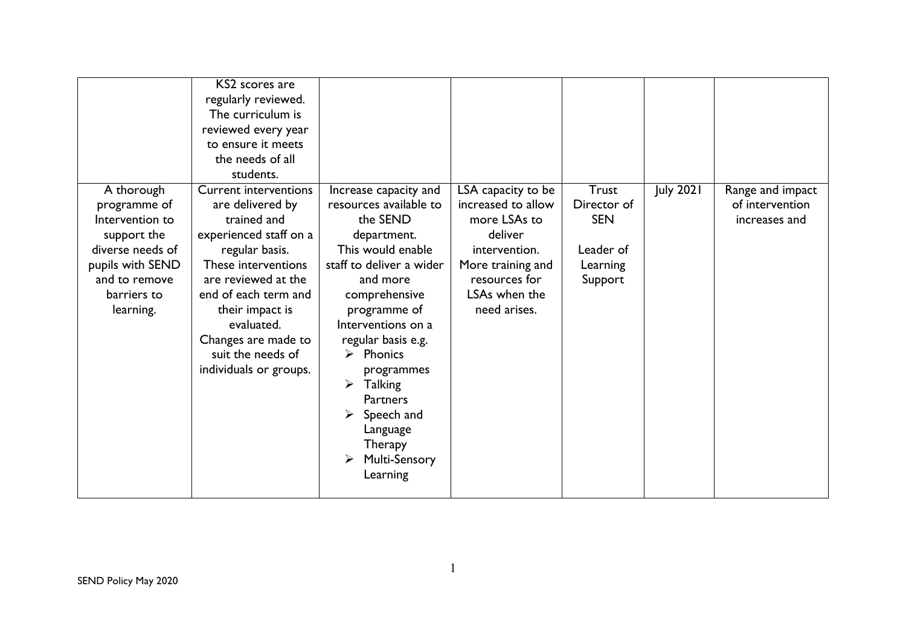| A thorough                                                                                                                          | KS2 scores are<br>regularly reviewed.<br>The curriculum is<br>reviewed every year<br>to ensure it meets<br>the needs of all<br>students.<br><b>Current interventions</b>                                                                                 | Increase capacity and                                                                                                                                                                                                                                                                                                                                            | LSA capacity to be                                                                                                                    | <b>Trust</b>                                                  | <b>July 2021</b> | Range and impact                 |
|-------------------------------------------------------------------------------------------------------------------------------------|----------------------------------------------------------------------------------------------------------------------------------------------------------------------------------------------------------------------------------------------------------|------------------------------------------------------------------------------------------------------------------------------------------------------------------------------------------------------------------------------------------------------------------------------------------------------------------------------------------------------------------|---------------------------------------------------------------------------------------------------------------------------------------|---------------------------------------------------------------|------------------|----------------------------------|
| programme of<br>Intervention to<br>support the<br>diverse needs of<br>pupils with SEND<br>and to remove<br>barriers to<br>learning. | are delivered by<br>trained and<br>experienced staff on a<br>regular basis.<br>These interventions<br>are reviewed at the<br>end of each term and<br>their impact is<br>evaluated.<br>Changes are made to<br>suit the needs of<br>individuals or groups. | resources available to<br>the SEND<br>department.<br>This would enable<br>staff to deliver a wider<br>and more<br>comprehensive<br>programme of<br>Interventions on a<br>regular basis e.g.<br>Phonics<br>$\blacktriangleright$<br>programmes<br>➤<br><b>Talking</b><br><b>Partners</b><br>Speech and<br>Language<br>Therapy<br><b>Multi-Sensory</b><br>Learning | increased to allow<br>more LSAs to<br>deliver<br>intervention.<br>More training and<br>resources for<br>LSAs when the<br>need arises. | Director of<br><b>SEN</b><br>Leader of<br>Learning<br>Support |                  | of intervention<br>increases and |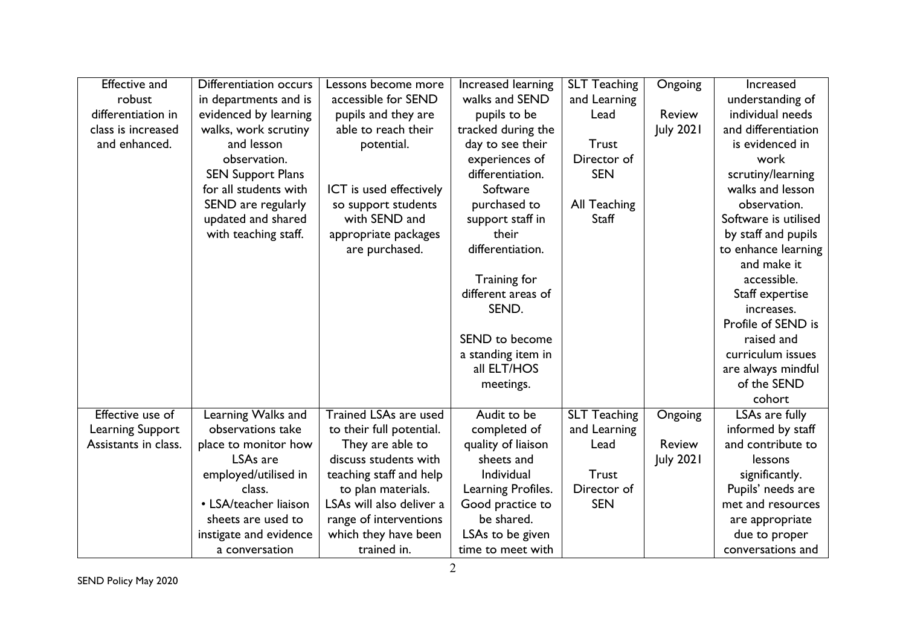| <b>Effective and</b>    | Differentiation occurs   | Lessons become more          | Increased learning | <b>SLT Teaching</b> | Ongoing          | Increased            |
|-------------------------|--------------------------|------------------------------|--------------------|---------------------|------------------|----------------------|
| robust                  | in departments and is    | accessible for SEND          | walks and SEND     | and Learning        |                  | understanding of     |
| differentiation in      | evidenced by learning    | pupils and they are          | pupils to be       | Lead                | <b>Review</b>    | individual needs     |
| class is increased      | walks, work scrutiny     | able to reach their          | tracked during the |                     | <b>July 2021</b> | and differentiation  |
| and enhanced.           | and lesson               | potential.                   | day to see their   | <b>Trust</b>        |                  | is evidenced in      |
|                         | observation.             |                              | experiences of     | Director of         |                  | work                 |
|                         | <b>SEN Support Plans</b> |                              | differentiation.   | <b>SEN</b>          |                  | scrutiny/learning    |
|                         | for all students with    | ICT is used effectively      | Software           |                     |                  | walks and lesson     |
|                         | SEND are regularly       | so support students          | purchased to       | All Teaching        |                  | observation.         |
|                         | updated and shared       | with SEND and                | support staff in   | Staff               |                  | Software is utilised |
|                         | with teaching staff.     | appropriate packages         | their              |                     |                  | by staff and pupils  |
|                         |                          | are purchased.               | differentiation.   |                     |                  | to enhance learning  |
|                         |                          |                              |                    |                     |                  | and make it          |
|                         |                          |                              | Training for       |                     |                  | accessible.          |
|                         |                          |                              | different areas of |                     |                  | Staff expertise      |
|                         |                          |                              | SEND.              |                     |                  | increases.           |
|                         |                          |                              |                    |                     |                  | Profile of SEND is   |
|                         |                          |                              | SEND to become     |                     |                  | raised and           |
|                         |                          |                              | a standing item in |                     |                  | curriculum issues    |
|                         |                          |                              | all ELT/HOS        |                     |                  | are always mindful   |
|                         |                          |                              | meetings.          |                     |                  | of the SEND          |
|                         |                          |                              |                    |                     |                  | cohort               |
| <b>Effective use of</b> | Learning Walks and       | <b>Trained LSAs are used</b> | Audit to be        | <b>SLT Teaching</b> | Ongoing          | LSAs are fully       |
| Learning Support        | observations take        | to their full potential.     | completed of       | and Learning        |                  | informed by staff    |
| Assistants in class.    | place to monitor how     | They are able to             | quality of liaison | Lead                | <b>Review</b>    | and contribute to    |
|                         | LSA <sub>s</sub> are     | discuss students with        | sheets and         |                     | <b>July 2021</b> | lessons              |
|                         | employed/utilised in     | teaching staff and help      | Individual         | <b>Trust</b>        |                  | significantly.       |
|                         | class.                   | to plan materials.           | Learning Profiles. | Director of         |                  | Pupils' needs are    |
|                         | • LSA/teacher liaison    | LSAs will also deliver a     | Good practice to   | <b>SEN</b>          |                  | met and resources    |
|                         | sheets are used to       | range of interventions       | be shared.         |                     |                  | are appropriate      |
|                         | instigate and evidence   | which they have been         | LSAs to be given   |                     |                  | due to proper        |
|                         | a conversation           | trained in.                  | time to meet with  |                     |                  | conversations and    |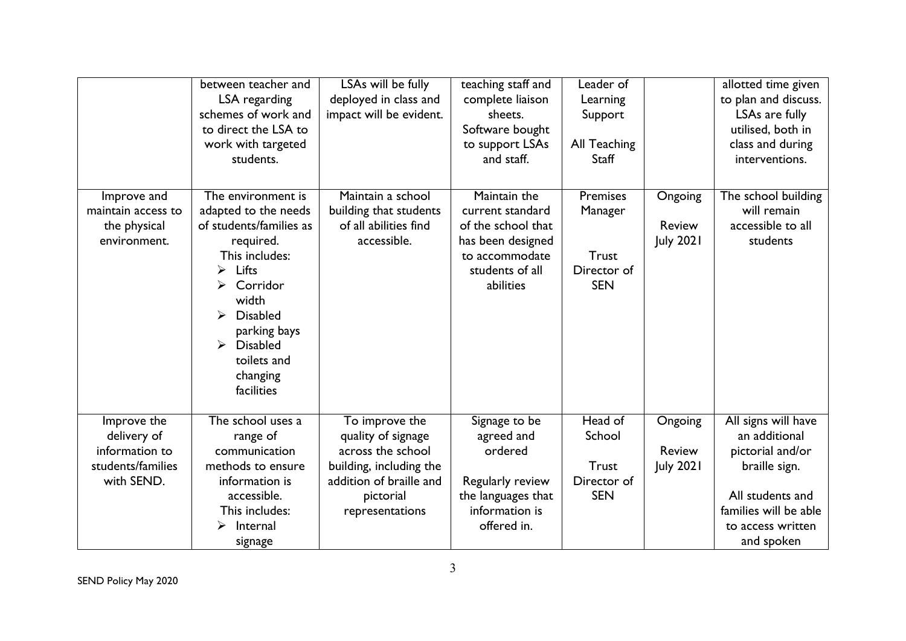|                                                                   | between teacher and<br>LSA regarding<br>schemes of work and<br>to direct the LSA to<br>work with targeted<br>students.                                                                                                                      | LSAs will be fully<br>deployed in class and<br>impact will be evident.               | teaching staff and<br>complete liaison<br>sheets.<br>Software bought<br>to support LSAs<br>and staff.                         | Leader of<br>Learning<br>Support<br>All Teaching<br><b>Staff</b>        |                                              | allotted time given<br>to plan and discuss.<br>LSAs are fully<br>utilised, both in<br>class and during<br>interventions. |
|-------------------------------------------------------------------|---------------------------------------------------------------------------------------------------------------------------------------------------------------------------------------------------------------------------------------------|--------------------------------------------------------------------------------------|-------------------------------------------------------------------------------------------------------------------------------|-------------------------------------------------------------------------|----------------------------------------------|--------------------------------------------------------------------------------------------------------------------------|
| Improve and<br>maintain access to<br>the physical<br>environment. | The environment is<br>adapted to the needs<br>of students/families as<br>required.<br>This includes:<br>Lifts<br>⋗<br>Corridor<br>width<br><b>Disabled</b><br>parking bays<br><b>Disabled</b><br>➤<br>toilets and<br>changing<br>facilities | Maintain a school<br>building that students<br>of all abilities find<br>accessible.  | Maintain the<br>current standard<br>of the school that<br>has been designed<br>to accommodate<br>students of all<br>abilities | <b>Premises</b><br>Manager<br><b>Trust</b><br>Director of<br><b>SEN</b> | Ongoing<br><b>Review</b><br><b>July 2021</b> | The school building<br>will remain<br>accessible to all<br>students                                                      |
| Improve the<br>delivery of<br>information to<br>students/families | The school uses a<br>range of<br>communication<br>methods to ensure                                                                                                                                                                         | To improve the<br>quality of signage<br>across the school<br>building, including the | Signage to be<br>agreed and<br>ordered                                                                                        | Head of<br>School<br>Trust                                              | Ongoing<br><b>Review</b><br><b>July 2021</b> | All signs will have<br>an additional<br>pictorial and/or<br>braille sign.                                                |
| with SEND.                                                        | information is<br>accessible.<br>This includes:<br>Internal<br>⋗<br>signage                                                                                                                                                                 | addition of braille and<br>pictorial<br>representations                              | Regularly review<br>the languages that<br>information is<br>offered in.                                                       | Director of<br><b>SEN</b>                                               |                                              | All students and<br>families will be able<br>to access written<br>and spoken                                             |